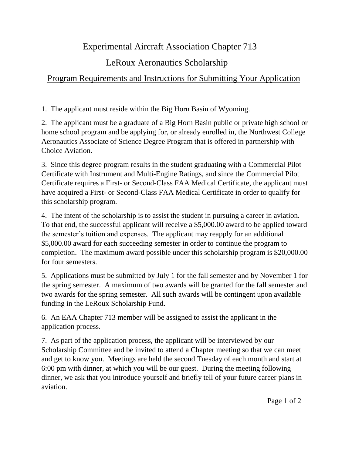## Experimental Aircraft Association Chapter 713

# LeRoux Aeronautics Scholarship

## Program Requirements and Instructions for Submitting Your Application

1. The applicant must reside within the Big Horn Basin of Wyoming.

2. The applicant must be a graduate of a Big Horn Basin public or private high school or home school program and be applying for, or already enrolled in, the Northwest College Aeronautics Associate of Science Degree Program that is offered in partnership with Choice Aviation.

3. Since this degree program results in the student graduating with a Commercial Pilot Certificate with Instrument and Multi-Engine Ratings, and since the Commercial Pilot Certificate requires a First- or Second-Class FAA Medical Certificate, the applicant must have acquired a First- or Second-Class FAA Medical Certificate in order to qualify for this scholarship program.

4. The intent of the scholarship is to assist the student in pursuing a career in aviation. To that end, the successful applicant will receive a \$5,000.00 award to be applied toward the semester's tuition and expenses. The applicant may reapply for an additional \$5,000.00 award for each succeeding semester in order to continue the program to completion. The maximum award possible under this scholarship program is \$20,000.00 for four semesters.

5. Applications must be submitted by July 1 for the fall semester and by November 1 for the spring semester. A maximum of two awards will be granted for the fall semester and two awards for the spring semester. All such awards will be contingent upon available funding in the LeRoux Scholarship Fund.

6. An EAA Chapter 713 member will be assigned to assist the applicant in the application process.

7. As part of the application process, the applicant will be interviewed by our Scholarship Committee and be invited to attend a Chapter meeting so that we can meet and get to know you. Meetings are held the second Tuesday of each month and start at 6:00 pm with dinner, at which you will be our guest. During the meeting following dinner, we ask that you introduce yourself and briefly tell of your future career plans in aviation.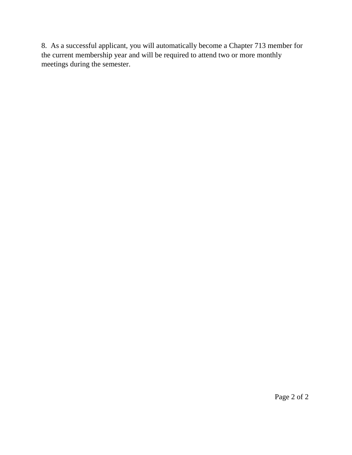8. As a successful applicant, you will automatically become a Chapter 713 member for the current membership year and will be required to attend two or more monthly meetings during the semester.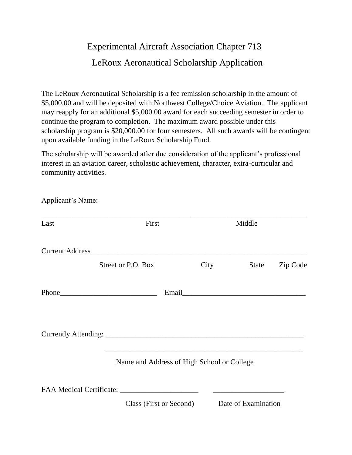### Experimental Aircraft Association Chapter 713

### LeRoux Aeronautical Scholarship Application

The LeRoux Aeronautical Scholarship is a fee remission scholarship in the amount of \$5,000.00 and will be deposited with Northwest College/Choice Aviation. The applicant may reapply for an additional \$5,000.00 award for each succeeding semester in order to continue the program to completion. The maximum award possible under this scholarship program is \$20,000.00 for four semesters. All such awards will be contingent upon available funding in the LeRoux Scholarship Fund.

The scholarship will be awarded after due consideration of the applicant's professional interest in an aviation career, scholastic achievement, character, extra-curricular and community activities.

| Last | First                                                       |      | Middle              |          |
|------|-------------------------------------------------------------|------|---------------------|----------|
|      |                                                             |      |                     |          |
|      | Street or P.O. Box                                          | City | State               | Zip Code |
|      | $Phone$                                                     |      |                     |          |
|      | <u> 1989 - Johann Stoff, amerikansk politiker (d. 1989)</u> |      |                     |          |
|      | Name and Address of High School or College                  |      |                     |          |
|      |                                                             |      |                     |          |
|      | Class (First or Second)                                     |      | Date of Examination |          |

Applicant's Name: